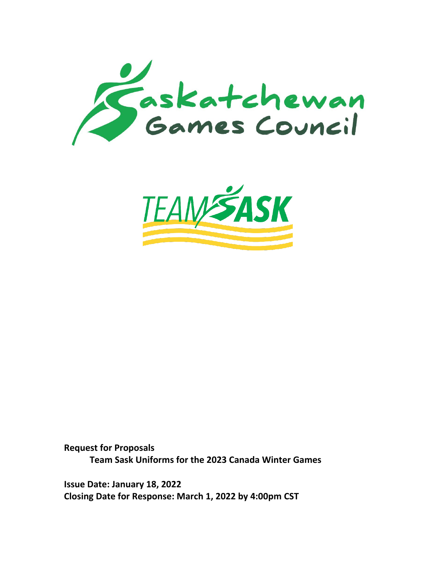



**Request for Proposals Team Sask Uniforms for the 2023 Canada Winter Games**

**Issue Date: January 18, 2022 Closing Date for Response: March 1, 2022 by 4:00pm CST**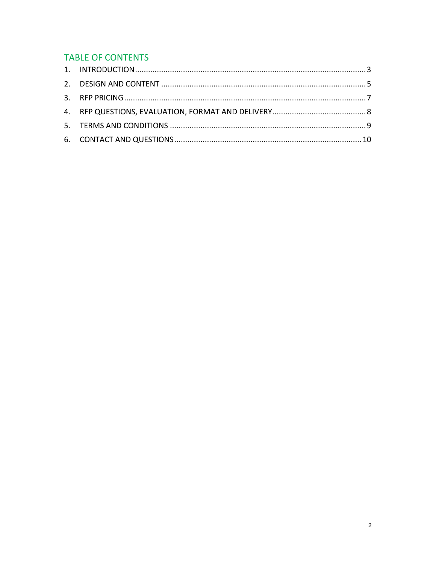# **TABLE OF CONTENTS**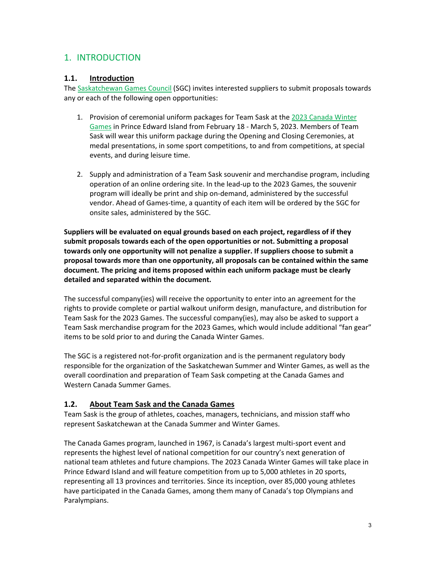# <span id="page-2-0"></span>1. INTRODUCTION

#### **1.1. Introduction**

The [Saskatchewan Games Council](http://www.saskgames.ca/) (SGC) invites interested suppliers to submit proposals towards any or each of the following open opportunities:

- 1. Provision of ceremonial uniform packages for Team Sask at the 2023 Canada Winter [Games](https://www.2023canadagames.ca/) in Prince Edward Island from February 18 - March 5, 2023. Members of Team Sask will wear this uniform package during the Opening and Closing Ceremonies, at medal presentations, in some sport competitions, to and from competitions, at special events, and during leisure time.
- 2. Supply and administration of a Team Sask souvenir and merchandise program, including operation of an online ordering site. In the lead-up to the 2023 Games, the souvenir program will ideally be print and ship on-demand, administered by the successful vendor. Ahead of Games-time, a quantity of each item will be ordered by the SGC for onsite sales, administered by the SGC.

**Suppliers will be evaluated on equal grounds based on each project, regardless of if they submit proposals towards each of the open opportunities or not. Submitting a proposal towards only one opportunity will not penalize a supplier. If suppliers choose to submit a proposal towards more than one opportunity, all proposals can be contained within the same document. The pricing and items proposed within each uniform package must be clearly detailed and separated within the document.**

The successful company(ies) will receive the opportunity to enter into an agreement for the rights to provide complete or partial walkout uniform design, manufacture, and distribution for Team Sask for the 2023 Games. The successful company(ies), may also be asked to support a Team Sask merchandise program for the 2023 Games, which would include additional "fan gear" items to be sold prior to and during the Canada Winter Games.

The SGC is a registered not-for-profit organization and is the permanent regulatory body responsible for the organization of the Saskatchewan Summer and Winter Games, as well as the overall coordination and preparation of Team Sask competing at the Canada Games and Western Canada Summer Games.

#### **1.2. About Team Sask and the Canada Games**

Team Sask is the group of athletes, coaches, managers, technicians, and mission staff who represent Saskatchewan at the Canada Summer and Winter Games.

The Canada Games program, launched in 1967, is Canada's largest multi-sport event and represents the highest level of national competition for our country's next generation of national team athletes and future champions. The 2023 Canada Winter Games will take place in Prince Edward Island and will feature competition from up to 5,000 athletes in 20 sports, representing all 13 provinces and territories. Since its inception, over 85,000 young athletes have participated in the Canada Games, among them many of Canada's top Olympians and Paralympians.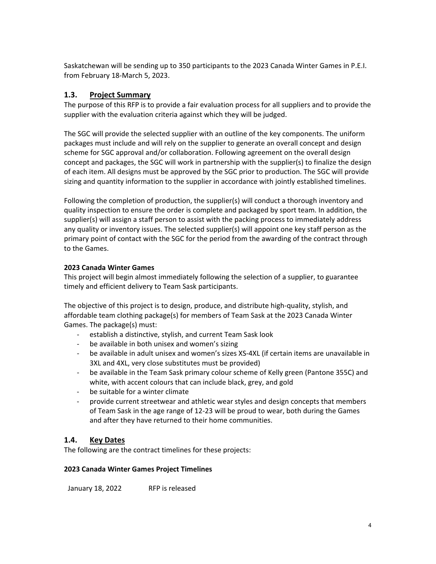Saskatchewan will be sending up to 350 participants to the 2023 Canada Winter Games in P.E.I. from February 18-March 5, 2023.

#### **1.3. Project Summary**

The purpose of this RFP is to provide a fair evaluation process for all suppliers and to provide the supplier with the evaluation criteria against which they will be judged.

The SGC will provide the selected supplier with an outline of the key components. The uniform packages must include and will rely on the supplier to generate an overall concept and design scheme for SGC approval and/or collaboration. Following agreement on the overall design concept and packages, the SGC will work in partnership with the supplier(s) to finalize the design of each item. All designs must be approved by the SGC prior to production. The SGC will provide sizing and quantity information to the supplier in accordance with jointly established timelines.

Following the completion of production, the supplier(s) will conduct a thorough inventory and quality inspection to ensure the order is complete and packaged by sport team. In addition, the supplier(s) will assign a staff person to assist with the packing process to immediately address any quality or inventory issues. The selected supplier(s) will appoint one key staff person as the primary point of contact with the SGC for the period from the awarding of the contract through to the Games.

#### **2023 Canada Winter Games**

This project will begin almost immediately following the selection of a supplier, to guarantee timely and efficient delivery to Team Sask participants.

The objective of this project is to design, produce, and distribute high-quality, stylish, and affordable team clothing package(s) for members of Team Sask at the 2023 Canada Winter Games. The package(s) must:

- establish a distinctive, stylish, and current Team Sask look
- be available in both unisex and women's sizing
- be available in adult unisex and women's sizes XS-4XL (if certain items are unavailable in 3XL and 4XL, very close substitutes must be provided)
- be available in the Team Sask primary colour scheme of Kelly green (Pantone 355C) and white, with accent colours that can include black, grey, and gold
- be suitable for a winter climate
- provide current streetwear and athletic wear styles and design concepts that members of Team Sask in the age range of 12-23 will be proud to wear, both during the Games and after they have returned to their home communities.

## **1.4. Key Dates**

The following are the contract timelines for these projects:

#### **2023 Canada Winter Games Project Timelines**

January 18, 2022 RFP is released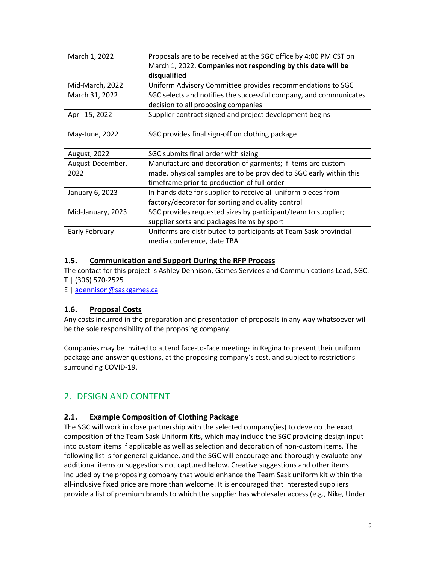| March 1, 2022            | Proposals are to be received at the SGC office by 4:00 PM CST on<br>March 1, 2022. Companies not responding by this date will be<br>disqualified                                  |
|--------------------------|-----------------------------------------------------------------------------------------------------------------------------------------------------------------------------------|
| Mid-March, 2022          | Uniform Advisory Committee provides recommendations to SGC                                                                                                                        |
| March 31, 2022           | SGC selects and notifies the successful company, and communicates                                                                                                                 |
|                          | decision to all proposing companies                                                                                                                                               |
| April 15, 2022           | Supplier contract signed and project development begins                                                                                                                           |
| May-June, 2022           | SGC provides final sign-off on clothing package                                                                                                                                   |
|                          |                                                                                                                                                                                   |
| August, 2022             | SGC submits final order with sizing                                                                                                                                               |
| August-December,<br>2022 | Manufacture and decoration of garments; if items are custom-<br>made, physical samples are to be provided to SGC early within this<br>timeframe prior to production of full order |
| January 6, 2023          | In-hands date for supplier to receive all uniform pieces from<br>factory/decorator for sorting and quality control                                                                |
| Mid-January, 2023        | SGC provides requested sizes by participant/team to supplier;<br>supplier sorts and packages items by sport                                                                       |

#### **1.5. Communication and Support During the RFP Process**

The contact for this project is Ashley Dennison, Games Services and Communications Lead, SGC. T | (306) 570-2525

E | [adennison@saskgames.ca](mailto:adennison@saskgames.ca)

## **1.6. Proposal Costs**

Any costs incurred in the preparation and presentation of proposals in any way whatsoever will be the sole responsibility of the proposing company.

Companies may be invited to attend face-to-face meetings in Regina to present their uniform package and answer questions, at the proposing company's cost, and subject to restrictions surrounding COVID-19.

# <span id="page-4-0"></span>2. DESIGN AND CONTENT

## **2.1. Example Composition of Clothing Package**

The SGC will work in close partnership with the selected company(ies) to develop the exact composition of the Team Sask Uniform Kits, which may include the SGC providing design input into custom items if applicable as well as selection and decoration of non-custom items. The following list is for general guidance, and the SGC will encourage and thoroughly evaluate any additional items or suggestions not captured below. Creative suggestions and other items included by the proposing company that would enhance the Team Sask uniform kit within the all-inclusive fixed price are more than welcome. It is encouraged that interested suppliers provide a list of premium brands to which the supplier has wholesaler access (e.g., Nike, Under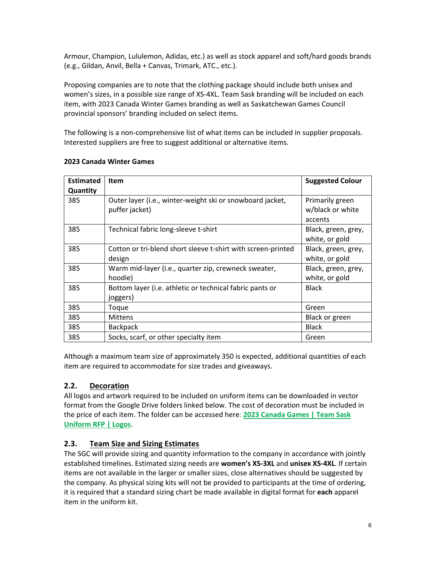Armour, Champion, Lululemon, Adidas, etc.) as well as stock apparel and soft/hard goods brands (e.g., Gildan, Anvil, Bella + Canvas, Trimark, ATC., etc.).

Proposing companies are to note that the clothing package should include both unisex and women's sizes, in a possible size range of XS-4XL. Team Sask branding will be included on each item, with 2023 Canada Winter Games branding as well as Saskatchewan Games Council provincial sponsors' branding included on select items.

The following is a non-comprehensive list of what items can be included in supplier proposals. Interested suppliers are free to suggest additional or alternative items.

| <b>Estimated</b> | <b>Item</b>                                                  | <b>Suggested Colour</b> |
|------------------|--------------------------------------------------------------|-------------------------|
| <b>Quantity</b>  |                                                              |                         |
| 385              | Outer layer (i.e., winter-weight ski or snowboard jacket,    | Primarily green         |
|                  | puffer jacket)                                               | w/black or white        |
|                  |                                                              | accents                 |
| 385              | Technical fabric long-sleeve t-shirt                         | Black, green, grey,     |
|                  |                                                              | white, or gold          |
| 385              | Cotton or tri-blend short sleeve t-shirt with screen-printed | Black, green, grey,     |
|                  | design                                                       | white, or gold          |
| 385              | Warm mid-layer (i.e., quarter zip, crewneck sweater,         | Black, green, grey,     |
|                  | hoodie)                                                      | white, or gold          |
| 385              | Bottom layer (i.e. athletic or technical fabric pants or     | <b>Black</b>            |
|                  | joggers)                                                     |                         |
| 385              | Toque                                                        | Green                   |
| 385              | <b>Mittens</b>                                               | Black or green          |
| 385              | <b>Backpack</b>                                              | <b>Black</b>            |
| 385              | Socks, scarf, or other specialty item                        | Green                   |

#### **2023 Canada Winter Games**

Although a maximum team size of approximately 350 is expected, additional quantities of each item are required to accommodate for size trades and giveaways.

## **2.2. Decoration**

All logos and artwork required to be included on uniform items can be downloaded in vector format from the Google Drive folders linked below. The cost of decoration must be included in the price of each item. The folder can be accessed here: **[2023 Canada Games | Team Sask](https://drive.google.com/drive/folders/1KFCZp1vx2JmnAPshCLALSJCLxSl2dJ_b?usp=sharing)  [Uniform RFP | Logos](https://drive.google.com/drive/folders/1KFCZp1vx2JmnAPshCLALSJCLxSl2dJ_b?usp=sharing)**.

## **2.3. Team Size and Sizing Estimates**

The SGC will provide sizing and quantity information to the company in accordance with jointly established timelines. Estimated sizing needs are **women's XS-3XL** and **unisex XS-4XL**. If certain items are not available in the larger or smaller sizes, close alternatives should be suggested by the company. As physical sizing kits will not be provided to participants at the time of ordering, it is required that a standard sizing chart be made available in digital format for **each** apparel item in the uniform kit.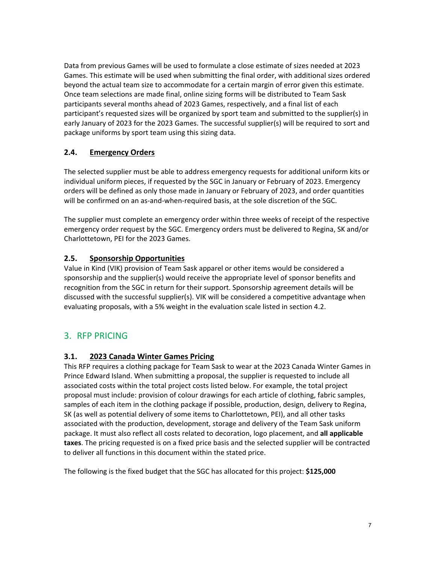Data from previous Games will be used to formulate a close estimate of sizes needed at 2023 Games. This estimate will be used when submitting the final order, with additional sizes ordered beyond the actual team size to accommodate for a certain margin of error given this estimate. Once team selections are made final, online sizing forms will be distributed to Team Sask participants several months ahead of 2023 Games, respectively, and a final list of each participant's requested sizes will be organized by sport team and submitted to the supplier(s) in early January of 2023 for the 2023 Games. The successful supplier(s) will be required to sort and package uniforms by sport team using this sizing data.

# **2.4. Emergency Orders**

The selected supplier must be able to address emergency requests for additional uniform kits or individual uniform pieces, if requested by the SGC in January or February of 2023. Emergency orders will be defined as only those made in January or February of 2023, and order quantities will be confirmed on an as-and-when-required basis, at the sole discretion of the SGC.

The supplier must complete an emergency order within three weeks of receipt of the respective emergency order request by the SGC. Emergency orders must be delivered to Regina, SK and/or Charlottetown, PEI for the 2023 Games.

#### **2.5. Sponsorship Opportunities**

Value in Kind (VIK) provision of Team Sask apparel or other items would be considered a sponsorship and the supplier(s) would receive the appropriate level of sponsor benefits and recognition from the SGC in return for their support. Sponsorship agreement details will be discussed with the successful supplier(s). VIK will be considered a competitive advantage when evaluating proposals, with a 5% weight in the evaluation scale listed in section 4.2.

# <span id="page-6-0"></span>3. RFP PRICING

## **3.1. 2023 Canada Winter Games Pricing**

This RFP requires a clothing package for Team Sask to wear at the 2023 Canada Winter Games in Prince Edward Island. When submitting a proposal, the supplier is requested to include all associated costs within the total project costs listed below. For example, the total project proposal must include: provision of colour drawings for each article of clothing, fabric samples, samples of each item in the clothing package if possible, production, design, delivery to Regina, SK (as well as potential delivery of some items to Charlottetown, PEI), and all other tasks associated with the production, development, storage and delivery of the Team Sask uniform package. It must also reflect all costs related to decoration, logo placement, and **all applicable taxes**. The pricing requested is on a fixed price basis and the selected supplier will be contracted to deliver all functions in this document within the stated price.

The following is the fixed budget that the SGC has allocated for this project: **\$125,000**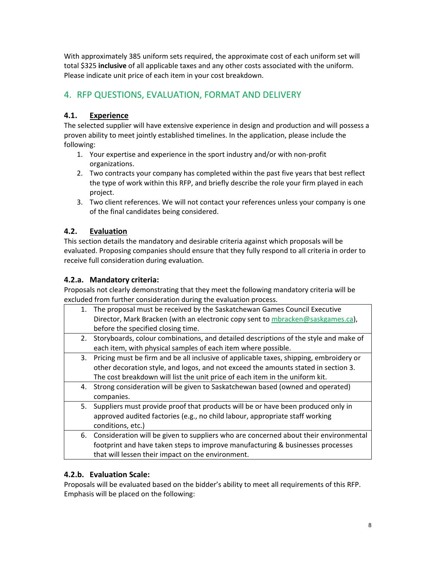With approximately 385 uniform sets required, the approximate cost of each uniform set will total \$325 **inclusive** of all applicable taxes and any other costs associated with the uniform. Please indicate unit price of each item in your cost breakdown.

# <span id="page-7-0"></span>4. RFP QUESTIONS, EVALUATION, FORMAT AND DELIVERY

# **4.1. Experience**

The selected supplier will have extensive experience in design and production and will possess a proven ability to meet jointly established timelines. In the application, please include the following:

- 1. Your expertise and experience in the sport industry and/or with non-profit organizations.
- 2. Two contracts your company has completed within the past five years that best reflect the type of work within this RFP, and briefly describe the role your firm played in each project.
- 3. Two client references. We will not contact your references unless your company is one of the final candidates being considered.

# **4.2. Evaluation**

This section details the mandatory and desirable criteria against which proposals will be evaluated. Proposing companies should ensure that they fully respond to all criteria in order to receive full consideration during evaluation.

## **4.2.a. Mandatory criteria:**

Proposals not clearly demonstrating that they meet the following mandatory criteria will be excluded from further consideration during the evaluation process.

| 1. | The proposal must be received by the Saskatchewan Games Council Executive               |
|----|-----------------------------------------------------------------------------------------|
|    | Director, Mark Bracken (with an electronic copy sent to mbracken@saskgames.ca),         |
|    | before the specified closing time.                                                      |
|    | 2. Storyboards, colour combinations, and detailed descriptions of the style and make of |
|    | each item, with physical samples of each item where possible.                           |
| 3. | Pricing must be firm and be all inclusive of applicable taxes, shipping, embroidery or  |
|    | other decoration style, and logos, and not exceed the amounts stated in section 3.      |
|    | The cost breakdown will list the unit price of each item in the uniform kit.            |
| 4. | Strong consideration will be given to Saskatchewan based (owned and operated)           |
|    | companies.                                                                              |
| 5. | Suppliers must provide proof that products will be or have been produced only in        |
|    | approved audited factories (e.g., no child labour, appropriate staff working            |
|    | conditions, etc.)                                                                       |
| 6. | Consideration will be given to suppliers who are concerned about their environmental    |
|    | footprint and have taken steps to improve manufacturing & businesses processes          |
|    | that will lessen their impact on the environment.                                       |
|    |                                                                                         |

# **4.2.b. Evaluation Scale:**

Proposals will be evaluated based on the bidder's ability to meet all requirements of this RFP. Emphasis will be placed on the following: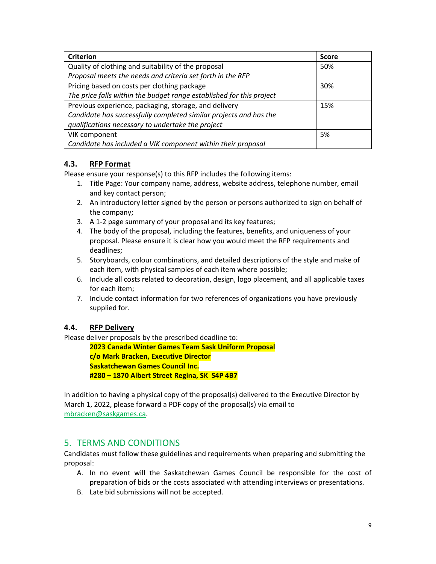| <b>Criterion</b>                                                     | <b>Score</b> |
|----------------------------------------------------------------------|--------------|
| Quality of clothing and suitability of the proposal                  | 50%          |
| Proposal meets the needs and criteria set forth in the RFP           |              |
| Pricing based on costs per clothing package                          | 30%          |
| The price falls within the budget range established for this project |              |
| Previous experience, packaging, storage, and delivery                | 15%          |
| Candidate has successfully completed similar projects and has the    |              |
| qualifications necessary to undertake the project                    |              |
| VIK component                                                        | 5%           |
| Candidate has included a VIK component within their proposal         |              |

# **4.3. RFP Format**

Please ensure your response(s) to this RFP includes the following items:

- 1. Title Page: Your company name, address, website address, telephone number, email and key contact person;
- 2. An introductory letter signed by the person or persons authorized to sign on behalf of the company;
- 3. A 1-2 page summary of your proposal and its key features;
- 4. The body of the proposal, including the features, benefits, and uniqueness of your proposal. Please ensure it is clear how you would meet the RFP requirements and deadlines;
- 5. Storyboards, colour combinations, and detailed descriptions of the style and make of each item, with physical samples of each item where possible;
- 6. Include all costs related to decoration, design, logo placement, and all applicable taxes for each item;
- 7. Include contact information for two references of organizations you have previously supplied for.

## **4.4. RFP Delivery**

Please deliver proposals by the prescribed deadline to:

**2023 Canada Winter Games Team Sask Uniform Proposal c/o Mark Bracken, Executive Director Saskatchewan Games Council Inc. #280 – 1870 Albert Street Regina, SK S4P 4B7**

In addition to having a physical copy of the proposal(s) delivered to the Executive Director by March 1, 2022, please forward a PDF copy of the proposal(s) via email to [mbracken@saskgames.ca.](mailto:mbracken@saskgames.ca)

# <span id="page-8-0"></span>5. TERMS AND CONDITIONS

Candidates must follow these guidelines and requirements when preparing and submitting the proposal:

- A. In no event will the Saskatchewan Games Council be responsible for the cost of preparation of bids or the costs associated with attending interviews or presentations.
- B. Late bid submissions will not be accepted.